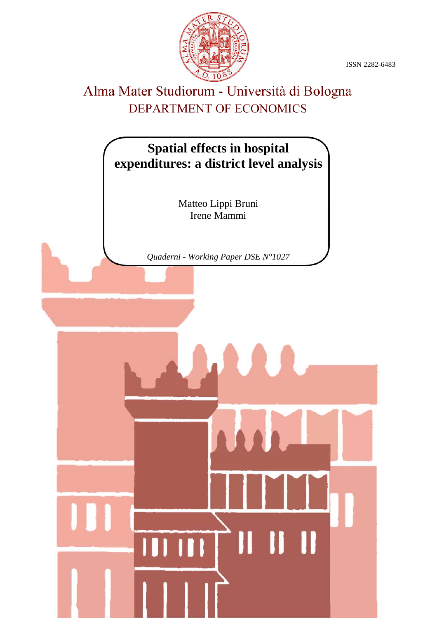ISSN 2282-6483



# Alma Mater Studiorum - Università di Bologna DEPARTMENT OF ECONOMICS

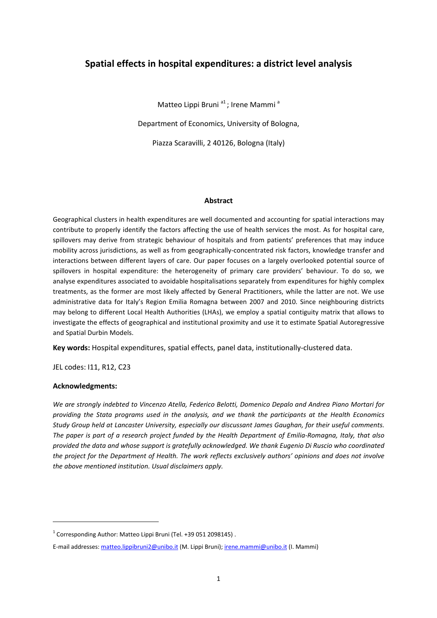# **Spatial effects in hospital expenditures: a district level analysis**

Matteo Lippi Bruni<sup>a1</sup>; Irene Mammi<sup>a</sup>

Department of Economics, University of Bologna,

Piazza Scaravilli, 2 40126, Bologna (Italy)

# **Abstract**

Geographical clusters in health expenditures are well documented and accounting for spatial interactions may contribute to properly identify the factors affecting the use of health services the most. As for hospital care, spillovers may derive from strategic behaviour of hospitals and from patients' preferences that may induce mobility across jurisdictions, as well as from geographically-concentrated risk factors, knowledge transfer and interactions between different layers of care. Our paper focuses on a largely overlooked potential source of spillovers in hospital expenditure: the heterogeneity of primary care providers' behaviour. To do so, we analyse expenditures associated to avoidable hospitalisations separately from expenditures for highly complex treatments, as the former are most likely affected by General Practitioners, while the latter are not. We use administrative data for Italy's Region Emilia Romagna between 2007 and 2010. Since neighbouring districts may belong to different Local Health Authorities (LHAs), we employ a spatial contiguity matrix that allows to investigate the effects of geographical and institutional proximity and use it to estimate Spatial Autoregressive and Spatial Durbin Models.

**Key words:** Hospital expenditures, spatial effects, panel data, institutionally-clustered data.

JEL codes: I11, R12, C23

# **Acknowledgments:**

 $\overline{\phantom{0}}$ 

*We are strongly indebted to Vincenzo Atella, Federico Belotti, Domenico Depalo and Andrea Piano Mortari for providing the Stata programs used in the analysis, and we thank the participants at the Health Economics Study Group held at Lancaster University, especially our discussant James Gaughan, for their useful comments. The paper is part of a research project funded by the Health Department of Emilia-Romagna, Italy, that also provided the data and whose support is gratefully acknowledged. We thank Eugenio Di Ruscio who coordinated the project for the Department of Health. The work reflects exclusively authors' opinions and does not involve the above mentioned institution. Usual disclaimers apply.* 

 $^1$  Corresponding Author: Matteo Lippi Bruni (Tel. +39 051 2098145).

E-mail addresses: matteo.lippibruni2@unibo.it (M. Lippi Bruni); irene.mammi@unibo.it (I. Mammi)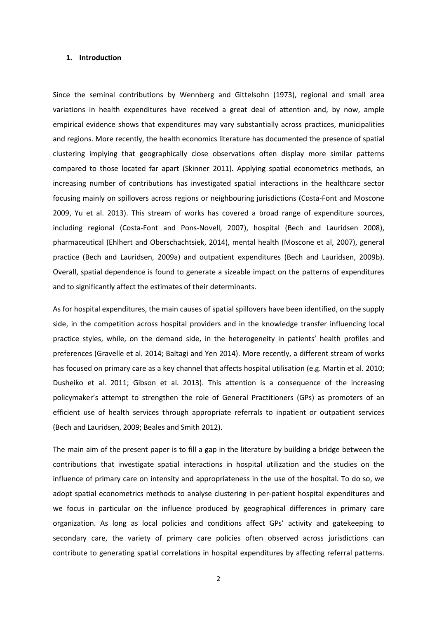# **1. Introduction**

Since the seminal contributions by Wennberg and Gittelsohn (1973), regional and small area variations in health expenditures have received a great deal of attention and, by now, ample empirical evidence shows that expenditures may vary substantially across practices, municipalities and regions. More recently, the health economics literature has documented the presence of spatial clustering implying that geographically close observations often display more similar patterns compared to those located far apart (Skinner 2011). Applying spatial econometrics methods, an increasing number of contributions has investigated spatial interactions in the healthcare sector focusing mainly on spillovers across regions or neighbouring jurisdictions (Costa-Font and Moscone 2009, Yu et al. 2013). This stream of works has covered a broad range of expenditure sources, including regional (Costa-Font and Pons-Novell, 2007), hospital (Bech and Lauridsen 2008), pharmaceutical (Ehlhert and Oberschachtsiek, 2014), mental health (Moscone et al, 2007), general practice (Bech and Lauridsen, 2009a) and outpatient expenditures (Bech and Lauridsen, 2009b). Overall, spatial dependence is found to generate a sizeable impact on the patterns of expenditures and to significantly affect the estimates of their determinants.

As for hospital expenditures, the main causes of spatial spillovers have been identified, on the supply side, in the competition across hospital providers and in the knowledge transfer influencing local practice styles, while, on the demand side, in the heterogeneity in patients' health profiles and preferences (Gravelle et al. 2014; Baltagi and Yen 2014). More recently, a different stream of works has focused on primary care as a key channel that affects hospital utilisation (e.g. Martin et al. 2010; Dusheiko et al. 2011; Gibson et al. 2013). This attention is a consequence of the increasing policymaker's attempt to strengthen the role of General Practitioners (GPs) as promoters of an efficient use of health services through appropriate referrals to inpatient or outpatient services (Bech and Lauridsen, 2009; Beales and Smith 2012).

The main aim of the present paper is to fill a gap in the literature by building a bridge between the contributions that investigate spatial interactions in hospital utilization and the studies on the influence of primary care on intensity and appropriateness in the use of the hospital. To do so, we adopt spatial econometrics methods to analyse clustering in per-patient hospital expenditures and we focus in particular on the influence produced by geographical differences in primary care organization. As long as local policies and conditions affect GPs' activity and gatekeeping to secondary care, the variety of primary care policies often observed across jurisdictions can contribute to generating spatial correlations in hospital expenditures by affecting referral patterns.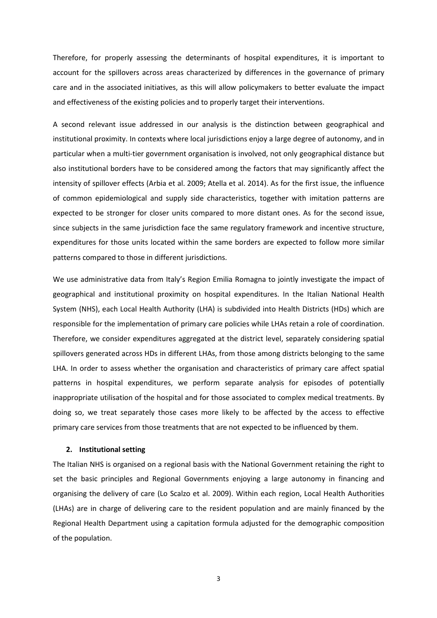Therefore, for properly assessing the determinants of hospital expenditures, it is important to account for the spillovers across areas characterized by differences in the governance of primary care and in the associated initiatives, as this will allow policymakers to better evaluate the impact and effectiveness of the existing policies and to properly target their interventions.

A second relevant issue addressed in our analysis is the distinction between geographical and institutional proximity. In contexts where local jurisdictions enjoy a large degree of autonomy, and in particular when a multi-tier government organisation is involved, not only geographical distance but also institutional borders have to be considered among the factors that may significantly affect the intensity of spillover effects (Arbia et al. 2009; Atella et al. 2014). As for the first issue, the influence of common epidemiological and supply side characteristics, together with imitation patterns are expected to be stronger for closer units compared to more distant ones. As for the second issue, since subjects in the same jurisdiction face the same regulatory framework and incentive structure, expenditures for those units located within the same borders are expected to follow more similar patterns compared to those in different jurisdictions.

We use administrative data from Italy's Region Emilia Romagna to jointly investigate the impact of geographical and institutional proximity on hospital expenditures. In the Italian National Health System (NHS), each Local Health Authority (LHA) is subdivided into Health Districts (HDs) which are responsible for the implementation of primary care policies while LHAs retain a role of coordination. Therefore, we consider expenditures aggregated at the district level, separately considering spatial spillovers generated across HDs in different LHAs, from those among districts belonging to the same LHA. In order to assess whether the organisation and characteristics of primary care affect spatial patterns in hospital expenditures, we perform separate analysis for episodes of potentially inappropriate utilisation of the hospital and for those associated to complex medical treatments. By doing so, we treat separately those cases more likely to be affected by the access to effective primary care services from those treatments that are not expected to be influenced by them.

# **2. Institutional setting**

The Italian NHS is organised on a regional basis with the National Government retaining the right to set the basic principles and Regional Governments enjoying a large autonomy in financing and organising the delivery of care (Lo Scalzo et al. 2009). Within each region, Local Health Authorities (LHAs) are in charge of delivering care to the resident population and are mainly financed by the Regional Health Department using a capitation formula adjusted for the demographic composition of the population.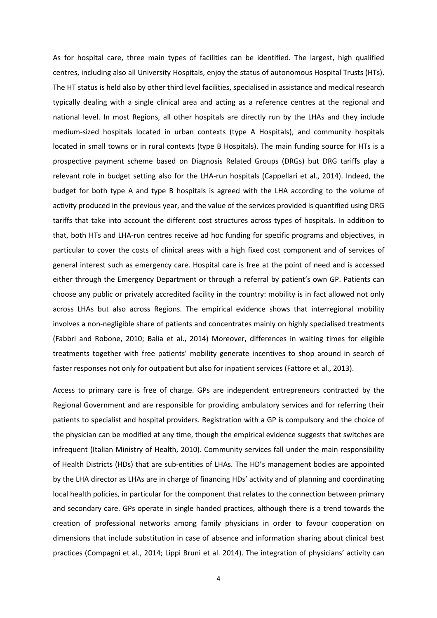As for hospital care, three main types of facilities can be identified. The largest, high qualified centres, including also all University Hospitals, enjoy the status of autonomous Hospital Trusts (HTs). The HT status is held also by other third level facilities, specialised in assistance and medical research typically dealing with a single clinical area and acting as a reference centres at the regional and national level. In most Regions, all other hospitals are directly run by the LHAs and they include medium-sized hospitals located in urban contexts (type A Hospitals), and community hospitals located in small towns or in rural contexts (type B Hospitals). The main funding source for HTs is a prospective payment scheme based on Diagnosis Related Groups (DRGs) but DRG tariffs play a relevant role in budget setting also for the LHA-run hospitals (Cappellari et al., 2014). Indeed, the budget for both type A and type B hospitals is agreed with the LHA according to the volume of activity produced in the previous year, and the value of the services provided is quantified using DRG tariffs that take into account the different cost structures across types of hospitals. In addition to that, both HTs and LHA-run centres receive ad hoc funding for specific programs and objectives, in particular to cover the costs of clinical areas with a high fixed cost component and of services of general interest such as emergency care. Hospital care is free at the point of need and is accessed either through the Emergency Department or through a referral by patient's own GP. Patients can choose any public or privately accredited facility in the country: mobility is in fact allowed not only across LHAs but also across Regions. The empirical evidence shows that interregional mobility involves a non-negligible share of patients and concentrates mainly on highly specialised treatments (Fabbri and Robone, 2010; Balia et al., 2014) Moreover, differences in waiting times for eligible treatments together with free patients' mobility generate incentives to shop around in search of faster responses not only for outpatient but also for inpatient services (Fattore et al., 2013).

Access to primary care is free of charge. GPs are independent entrepreneurs contracted by the Regional Government and are responsible for providing ambulatory services and for referring their patients to specialist and hospital providers. Registration with a GP is compulsory and the choice of the physician can be modified at any time, though the empirical evidence suggests that switches are infrequent (Italian Ministry of Health, 2010). Community services fall under the main responsibility of Health Districts (HDs) that are sub-entities of LHAs. The HD's management bodies are appointed by the LHA director as LHAs are in charge of financing HDs' activity and of planning and coordinating local health policies, in particular for the component that relates to the connection between primary and secondary care. GPs operate in single handed practices, although there is a trend towards the creation of professional networks among family physicians in order to favour cooperation on dimensions that include substitution in case of absence and information sharing about clinical best practices (Compagni et al., 2014; Lippi Bruni et al. 2014). The integration of physicians' activity can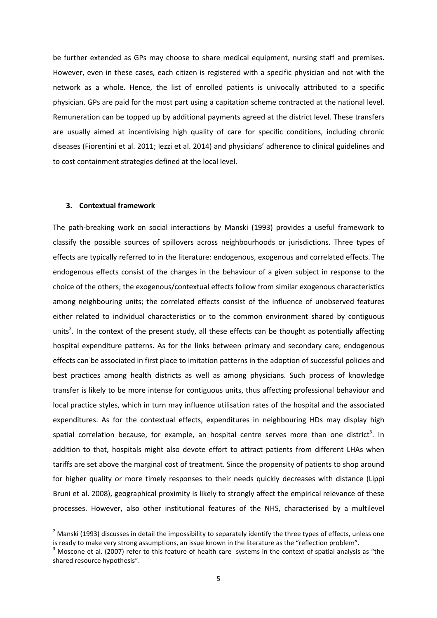be further extended as GPs may choose to share medical equipment, nursing staff and premises. However, even in these cases, each citizen is registered with a specific physician and not with the network as a whole. Hence, the list of enrolled patients is univocally attributed to a specific physician. GPs are paid for the most part using a capitation scheme contracted at the national level. Remuneration can be topped up by additional payments agreed at the district level. These transfers are usually aimed at incentivising high quality of care for specific conditions, including chronic diseases (Fiorentini et al. 2011; Iezzi et al. 2014) and physicians' adherence to clinical guidelines and to cost containment strategies defined at the local level.

# **3. Contextual framework**

 $\overline{\phantom{0}}$ 

The path-breaking work on social interactions by Manski (1993) provides a useful framework to classify the possible sources of spillovers across neighbourhoods or jurisdictions. Three types of effects are typically referred to in the literature: endogenous, exogenous and correlated effects. The endogenous effects consist of the changes in the behaviour of a given subject in response to the choice of the others; the exogenous/contextual effects follow from similar exogenous characteristics among neighbouring units; the correlated effects consist of the influence of unobserved features either related to individual characteristics or to the common environment shared by contiguous units<sup>2</sup>. In the context of the present study, all these effects can be thought as potentially affecting hospital expenditure patterns. As for the links between primary and secondary care, endogenous effects can be associated in first place to imitation patterns in the adoption of successful policies and best practices among health districts as well as among physicians. Such process of knowledge transfer is likely to be more intense for contiguous units, thus affecting professional behaviour and local practice styles, which in turn may influence utilisation rates of the hospital and the associated expenditures. As for the contextual effects, expenditures in neighbouring HDs may display high spatial correlation because, for example, an hospital centre serves more than one district<sup>3</sup>. In addition to that, hospitals might also devote effort to attract patients from different LHAs when tariffs are set above the marginal cost of treatment. Since the propensity of patients to shop around for higher quality or more timely responses to their needs quickly decreases with distance (Lippi Bruni et al. 2008), geographical proximity is likely to strongly affect the empirical relevance of these processes. However, also other institutional features of the NHS, characterised by a multilevel

 $^2$  Manski (1993) discusses in detail the impossibility to separately identify the three types of effects, unless one is ready to make very strong assumptions, an issue known in the literature as the "reflection problem".

 $3$  Moscone et al. (2007) refer to this feature of health care systems in the context of spatial analysis as "the shared resource hypothesis".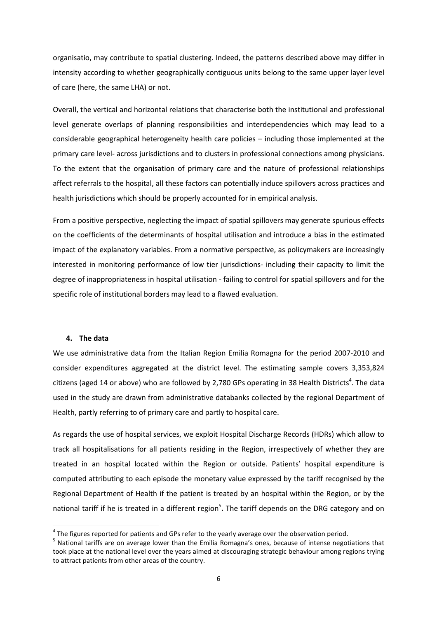organisatio, may contribute to spatial clustering. Indeed, the patterns described above may differ in intensity according to whether geographically contiguous units belong to the same upper layer level of care (here, the same LHA) or not.

Overall, the vertical and horizontal relations that characterise both the institutional and professional level generate overlaps of planning responsibilities and interdependencies which may lead to a considerable geographical heterogeneity health care policies – including those implemented at the primary care level- across jurisdictions and to clusters in professional connections among physicians. To the extent that the organisation of primary care and the nature of professional relationships affect referrals to the hospital, all these factors can potentially induce spillovers across practices and health jurisdictions which should be properly accounted for in empirical analysis.

From a positive perspective, neglecting the impact of spatial spillovers may generate spurious effects on the coefficients of the determinants of hospital utilisation and introduce a bias in the estimated impact of the explanatory variables. From a normative perspective, as policymakers are increasingly interested in monitoring performance of low tier jurisdictions- including their capacity to limit the degree of inappropriateness in hospital utilisation - failing to control for spatial spillovers and for the specific role of institutional borders may lead to a flawed evaluation.

# **4. The data**

 $\overline{\phantom{0}}$ 

We use administrative data from the Italian Region Emilia Romagna for the period 2007-2010 and consider expenditures aggregated at the district level. The estimating sample covers 3,353,824 citizens (aged 14 or above) who are followed by 2,780 GPs operating in 38 Health Districts<sup>4</sup>. The data used in the study are drawn from administrative databanks collected by the regional Department of Health, partly referring to of primary care and partly to hospital care.

As regards the use of hospital services, we exploit Hospital Discharge Records (HDRs) which allow to track all hospitalisations for all patients residing in the Region, irrespectively of whether they are treated in an hospital located within the Region or outside. Patients' hospital expenditure is computed attributing to each episode the monetary value expressed by the tariff recognised by the Regional Department of Health if the patient is treated by an hospital within the Region, or by the national tariff if he is treated in a different region<sup>5</sup>. The tariff depends on the DRG category and on

 $<sup>4</sup>$  The figures reported for patients and GPs refer to the yearly average over the observation period.</sup>

<sup>&</sup>lt;sup>5</sup> National tariffs are on average lower than the Emilia Romagna's ones, because of intense negotiations that took place at the national level over the years aimed at discouraging strategic behaviour among regions trying to attract patients from other areas of the country.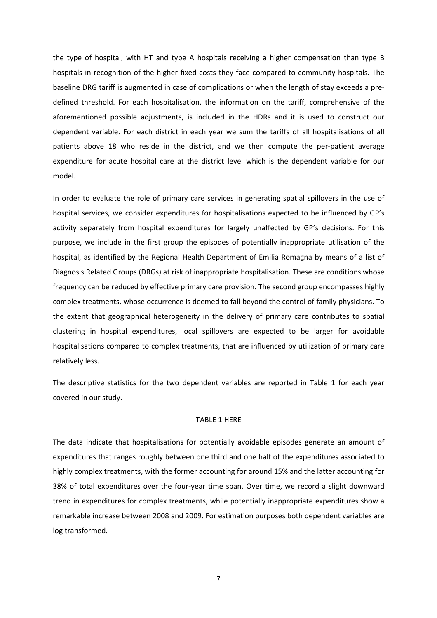the type of hospital, with HT and type A hospitals receiving a higher compensation than type B hospitals in recognition of the higher fixed costs they face compared to community hospitals. The baseline DRG tariff is augmented in case of complications or when the length of stay exceeds a predefined threshold. For each hospitalisation, the information on the tariff, comprehensive of the aforementioned possible adjustments, is included in the HDRs and it is used to construct our dependent variable. For each district in each year we sum the tariffs of all hospitalisations of all patients above 18 who reside in the district, and we then compute the per-patient average expenditure for acute hospital care at the district level which is the dependent variable for our model.

In order to evaluate the role of primary care services in generating spatial spillovers in the use of hospital services, we consider expenditures for hospitalisations expected to be influenced by GP's activity separately from hospital expenditures for largely unaffected by GP's decisions. For this purpose, we include in the first group the episodes of potentially inappropriate utilisation of the hospital, as identified by the Regional Health Department of Emilia Romagna by means of a list of Diagnosis Related Groups (DRGs) at risk of inappropriate hospitalisation. These are conditions whose frequency can be reduced by effective primary care provision. The second group encompasses highly complex treatments, whose occurrence is deemed to fall beyond the control of family physicians. To the extent that geographical heterogeneity in the delivery of primary care contributes to spatial clustering in hospital expenditures, local spillovers are expected to be larger for avoidable hospitalisations compared to complex treatments, that are influenced by utilization of primary care relatively less.

The descriptive statistics for the two dependent variables are reported in Table 1 for each year covered in our study.

#### TABLE 1 HERE

The data indicate that hospitalisations for potentially avoidable episodes generate an amount of expenditures that ranges roughly between one third and one half of the expenditures associated to highly complex treatments, with the former accounting for around 15% and the latter accounting for 38% of total expenditures over the four-year time span. Over time, we record a slight downward trend in expenditures for complex treatments, while potentially inappropriate expenditures show a remarkable increase between 2008 and 2009. For estimation purposes both dependent variables are log transformed.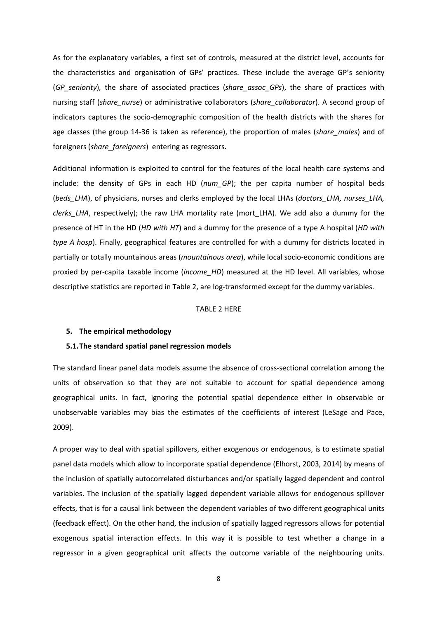As for the explanatory variables, a first set of controls, measured at the district level, accounts for the characteristics and organisation of GPs' practices. These include the average GP's seniority (*GP\_seniority*)*,* the share of associated practices (*share\_assoc\_GPs*), the share of practices with nursing staff (*share\_nurse*) or administrative collaborators (*share\_collaborator*). A second group of indicators captures the socio-demographic composition of the health districts with the shares for age classes (the group 14-36 is taken as reference), the proportion of males (*share males*) and of foreigners (*share\_foreigners*) entering as regressors.

Additional information is exploited to control for the features of the local health care systems and include: the density of GPs in each HD (*num\_GP*); the per capita number of hospital beds (*beds\_LHA*), of physicians, nurses and clerks employed by the local LHAs (*doctors\_LHA, nurses\_LHA, clerks\_LHA*, respectively); the raw LHA mortality rate (mort\_LHA). We add also a dummy for the presence of HT in the HD (*HD with HT*) and a dummy for the presence of a type A hospital (*HD with type A hosp*). Finally, geographical features are controlled for with a dummy for districts located in partially or totally mountainous areas (*mountainous area*), while local socio-economic conditions are proxied by per-capita taxable income (*income\_HD*) measured at the HD level. All variables, whose descriptive statistics are reported in Table 2, are log-transformed except for the dummy variables.

# TABLE 2 HERE

#### **5. The empirical methodology**

# **5.1.The standard spatial panel regression models**

The standard linear panel data models assume the absence of cross-sectional correlation among the units of observation so that they are not suitable to account for spatial dependence among geographical units. In fact, ignoring the potential spatial dependence either in observable or unobservable variables may bias the estimates of the coefficients of interest (LeSage and Pace, 2009).

A proper way to deal with spatial spillovers, either exogenous or endogenous, is to estimate spatial panel data models which allow to incorporate spatial dependence (Elhorst, 2003, 2014) by means of the inclusion of spatially autocorrelated disturbances and/or spatially lagged dependent and control variables. The inclusion of the spatially lagged dependent variable allows for endogenous spillover effects, that is for a causal link between the dependent variables of two different geographical units (feedback effect). On the other hand, the inclusion of spatially lagged regressors allows for potential exogenous spatial interaction effects. In this way it is possible to test whether a change in a regressor in a given geographical unit affects the outcome variable of the neighbouring units.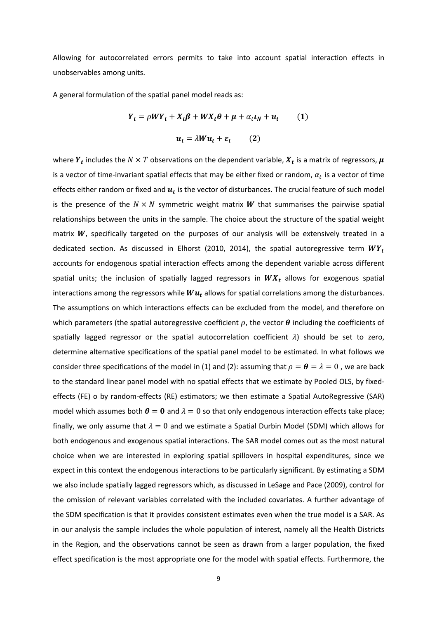Allowing for autocorrelated errors permits to take into account spatial interaction effects in unobservables among units.

A general formulation of the spatial panel model reads as:

$$
Y_t = \rho W Y_t + X_t \beta + W X_t \theta + \mu + \alpha_t t_N + u_t \qquad (1)
$$

$$
u_t = \lambda W u_t + \varepsilon_t \qquad (2)
$$

where  $\pmb{Y_t}$  includes the  $N \times T$  observations on the dependent variable,  $\pmb{X_t}$  is a matrix of regressors,  $\pmb{\mu}$ is a vector of time-invariant spatial effects that may be either fixed or random,  $\alpha_t$  is a vector of time effects either random or fixed and  $u_t$  is the vector of disturbances. The crucial feature of such model is the presence of the  $N \times N$  symmetric weight matrix W that summarises the pairwise spatial relationships between the units in the sample. The choice about the structure of the spatial weight matrix  $W$ , specifically targeted on the purposes of our analysis will be extensively treated in a dedicated section. As discussed in Elhorst (2010, 2014), the spatial autoregressive term  $WY_t$ accounts for endogenous spatial interaction effects among the dependent variable across different spatial units; the inclusion of spatially lagged regressors in  $WX_t$  allows for exogenous spatial interactions among the regressors while  $W\bm{u_t}$  allows for spatial correlations among the disturbances. The assumptions on which interactions effects can be excluded from the model, and therefore on which parameters (the spatial autoregressive coefficient  $\rho$ , the vector  $\theta$  including the coefficients of spatially lagged regressor or the spatial autocorrelation coefficient  $\lambda$ ) should be set to zero, determine alternative specifications of the spatial panel model to be estimated. In what follows we consider three specifications of the model in (1) and (2): assuming that  $\rho = \theta = \lambda = 0$ , we are back to the standard linear panel model with no spatial effects that we estimate by Pooled OLS, by fixedeffects (FE) o by random-effects (RE) estimators; we then estimate a Spatial AutoRegressive (SAR) model which assumes both  $\theta = 0$  and  $\lambda = 0$  so that only endogenous interaction effects take place; finally, we only assume that  $\lambda = 0$  and we estimate a Spatial Durbin Model (SDM) which allows for both endogenous and exogenous spatial interactions. The SAR model comes out as the most natural choice when we are interested in exploring spatial spillovers in hospital expenditures, since we expect in this context the endogenous interactions to be particularly significant. By estimating a SDM we also include spatially lagged regressors which, as discussed in LeSage and Pace (2009), control for the omission of relevant variables correlated with the included covariates. A further advantage of the SDM specification is that it provides consistent estimates even when the true model is a SAR. As in our analysis the sample includes the whole population of interest, namely all the Health Districts in the Region, and the observations cannot be seen as drawn from a larger population, the fixed effect specification is the most appropriate one for the model with spatial effects. Furthermore, the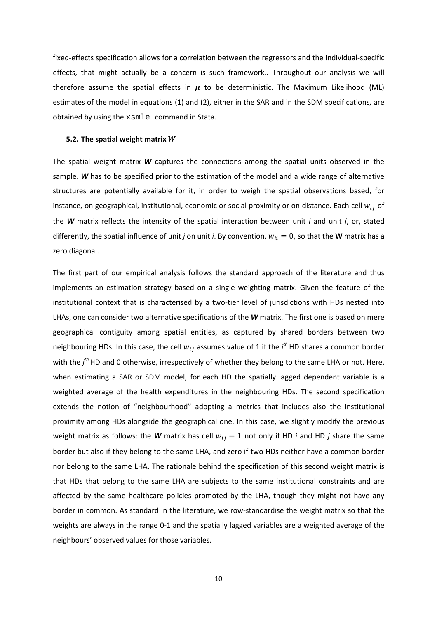fixed-effects specification allows for a correlation between the regressors and the individual-specific effects, that might actually be a concern is such framework.. Throughout our analysis we will therefore assume the spatial effects in  $\mu$  to be deterministic. The Maximum Likelihood (ML) estimates of the model in equations (1) and (2), either in the SAR and in the SDM specifications, are obtained by using the xsmle command in Stata.

#### **5.2. The spatial weight matrix**

The spatial weight matrix *W* captures the connections among the spatial units observed in the sample. *W* has to be specified prior to the estimation of the model and a wide range of alternative structures are potentially available for it, in order to weigh the spatial observations based, for instance, on geographical, institutional, economic or social proximity or on distance. Each cell  $w_{ij}$  of the *W* matrix reflects the intensity of the spatial interaction between unit *i* and unit *j*, or, stated differently, the spatial influence of unit *j* on unit *i*. By convention,  $w_{ii} = 0$ , so that the **W** matrix has a zero diagonal.

The first part of our empirical analysis follows the standard approach of the literature and thus implements an estimation strategy based on a single weighting matrix. Given the feature of the institutional context that is characterised by a two-tier level of jurisdictions with HDs nested into LHAs, one can consider two alternative specifications of the *W* matrix. The first one is based on mere geographical contiguity among spatial entities, as captured by shared borders between two neighbouring HDs. In this case, the cell  $w_{ij}$  assumes value of 1 if the  $i<sup>th</sup>$  HD shares a common border with the *j*<sup>th</sup> HD and 0 otherwise, irrespectively of whether they belong to the same LHA or not. Here, when estimating a SAR or SDM model, for each HD the spatially lagged dependent variable is a weighted average of the health expenditures in the neighbouring HDs. The second specification extends the notion of "neighbourhood" adopting a metrics that includes also the institutional proximity among HDs alongside the geographical one. In this case, we slightly modify the previous weight matrix as follows: the W matrix has cell  $w_{ij} = 1$  not only if HD *i* and HD *j* share the same border but also if they belong to the same LHA, and zero if two HDs neither have a common border nor belong to the same LHA. The rationale behind the specification of this second weight matrix is that HDs that belong to the same LHA are subjects to the same institutional constraints and are affected by the same healthcare policies promoted by the LHA, though they might not have any border in common. As standard in the literature, we row-standardise the weight matrix so that the weights are always in the range 0-1 and the spatially lagged variables are a weighted average of the neighbours' observed values for those variables.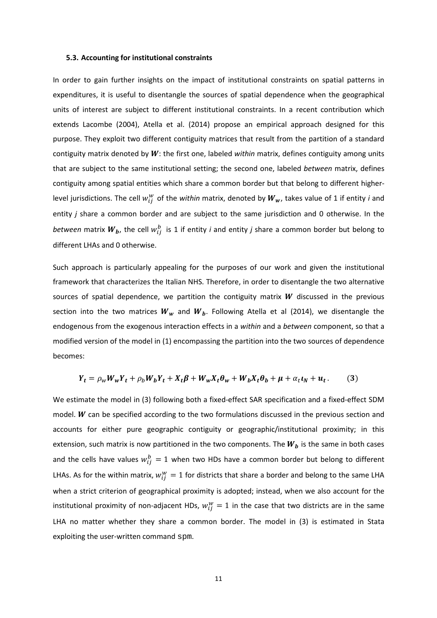#### **5.3. Accounting for institutional constraints**

In order to gain further insights on the impact of institutional constraints on spatial patterns in expenditures, it is useful to disentangle the sources of spatial dependence when the geographical units of interest are subject to different institutional constraints. In a recent contribution which extends Lacombe (2004), Atella et al. (2014) propose an empirical approach designed for this purpose. They exploit two different contiguity matrices that result from the partition of a standard contiguity matrix denoted by W: the first one, labeled *within* matrix, defines contiguity among units that are subject to the same institutional setting; the second one, labeled *between* matrix, defines contiguity among spatial entities which share a common border but that belong to different higherlevel jurisdictions. The cell  $w_{ij}^w$  of the *within* matrix, denoted by  $\pmb{W_w}$ , takes value of 1 if entity *i* and entity *j* share a common border and are subject to the same jurisdiction and 0 otherwise. In the *between* matrix  $\bm{W}_{\bm{b}}$ , the cell  $w_{ij}^b$  is 1 if entity *i* and entity *j* share a common border but belong to different LHAs and 0 otherwise.

Such approach is particularly appealing for the purposes of our work and given the institutional framework that characterizes the Italian NHS. Therefore, in order to disentangle the two alternative sources of spatial dependence, we partition the contiguity matrix  $W$  discussed in the previous section into the two matrices  $W_w$  and  $W_b$ . Following Atella et al (2014), we disentangle the endogenous from the exogenous interaction effects in a *within* and a *between* component, so that a modified version of the model in (1) encompassing the partition into the two sources of dependence becomes:

$$
Y_t = \rho_w W_w Y_t + \rho_b W_b Y_t + X_t \beta + W_w X_t \theta_w + W_b X_t \theta_b + \mu + \alpha_t \iota_N + u_t. \tag{3}
$$

We estimate the model in (3) following both a fixed-effect SAR specification and a fixed-effect SDM model.  $W$  can be specified according to the two formulations discussed in the previous section and accounts for either pure geographic contiguity or geographic/institutional proximity; in this extension, such matrix is now partitioned in the two components. The  $W_b$  is the same in both cases and the cells have values  $w_{ij}^b = 1$  when two HDs have a common border but belong to different LHAs. As for the within matrix,  $w_{ij}^w = 1$  for districts that share a border and belong to the same LHA when a strict criterion of geographical proximity is adopted; instead, when we also account for the institutional proximity of non-adjacent HDs,  $w_{ij}^W=1$  in the case that two districts are in the same LHA no matter whether they share a common border. The model in (3) is estimated in Stata exploiting the user-written command spm.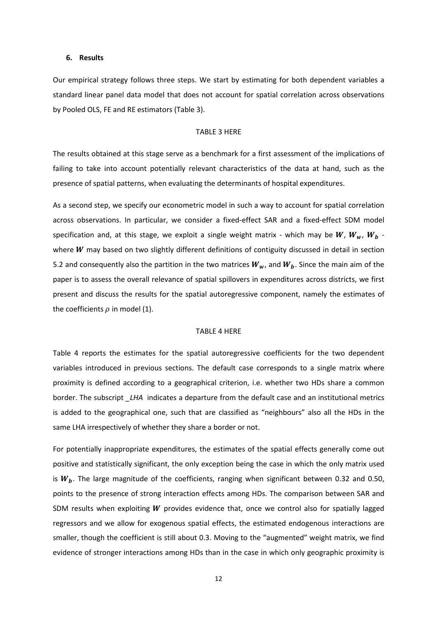#### **6. Results**

Our empirical strategy follows three steps. We start by estimating for both dependent variables a standard linear panel data model that does not account for spatial correlation across observations by Pooled OLS, FE and RE estimators (Table 3).

# TABLE 3 HERE

The results obtained at this stage serve as a benchmark for a first assessment of the implications of failing to take into account potentially relevant characteristics of the data at hand, such as the presence of spatial patterns, when evaluating the determinants of hospital expenditures.

As a second step, we specify our econometric model in such a way to account for spatial correlation across observations. In particular, we consider a fixed-effect SAR and a fixed-effect SDM model specification and, at this stage, we exploit a single weight matrix - which may be W,  $W_w$ ,  $W_b$  where  $W$  may based on two slightly different definitions of contiguity discussed in detail in section 5.2 and consequently also the partition in the two matrices  $W_w$ , and  $W_b$ . Since the main aim of the paper is to assess the overall relevance of spatial spillovers in expenditures across districts, we first present and discuss the results for the spatial autoregressive component, namely the estimates of the coefficients  $\rho$  in model (1).

#### TABLE 4 HERE

Table 4 reports the estimates for the spatial autoregressive coefficients for the two dependent variables introduced in previous sections. The default case corresponds to a single matrix where proximity is defined according to a geographical criterion, i.e. whether two HDs share a common border. The subscript *\_LHA* indicates a departure from the default case and an institutional metrics is added to the geographical one, such that are classified as "neighbours" also all the HDs in the same LHA irrespectively of whether they share a border or not.

For potentially inappropriate expenditures, the estimates of the spatial effects generally come out positive and statistically significant, the only exception being the case in which the only matrix used is  $W<sub>b</sub>$ . The large magnitude of the coefficients, ranging when significant between 0.32 and 0.50, points to the presence of strong interaction effects among HDs. The comparison between SAR and SDM results when exploiting  $W$  provides evidence that, once we control also for spatially lagged regressors and we allow for exogenous spatial effects, the estimated endogenous interactions are smaller, though the coefficient is still about 0.3. Moving to the "augmented" weight matrix, we find evidence of stronger interactions among HDs than in the case in which only geographic proximity is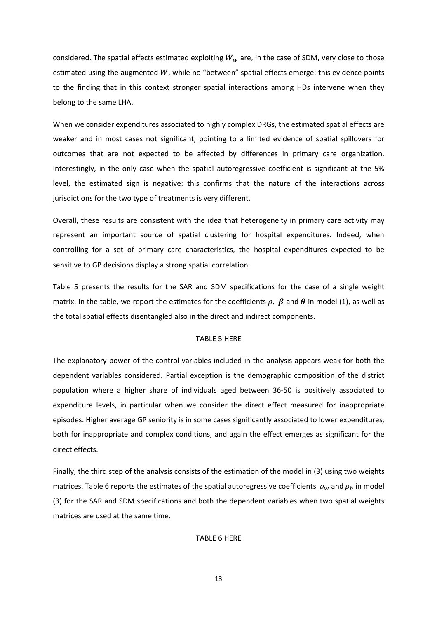considered. The spatial effects estimated exploiting  $W_w$  are, in the case of SDM, very close to those estimated using the augmented  $W$ , while no "between" spatial effects emerge: this evidence points to the finding that in this context stronger spatial interactions among HDs intervene when they belong to the same LHA.

When we consider expenditures associated to highly complex DRGs, the estimated spatial effects are weaker and in most cases not significant, pointing to a limited evidence of spatial spillovers for outcomes that are not expected to be affected by differences in primary care organization. Interestingly, in the only case when the spatial autoregressive coefficient is significant at the 5% level, the estimated sign is negative: this confirms that the nature of the interactions across jurisdictions for the two type of treatments is very different.

Overall, these results are consistent with the idea that heterogeneity in primary care activity may represent an important source of spatial clustering for hospital expenditures. Indeed, when controlling for a set of primary care characteristics, the hospital expenditures expected to be sensitive to GP decisions display a strong spatial correlation.

Table 5 presents the results for the SAR and SDM specifications for the case of a single weight matrix. In the table, we report the estimates for the coefficients  $\rho$ ,  $\beta$  and  $\theta$  in model (1), as well as the total spatial effects disentangled also in the direct and indirect components.

## TABLE 5 HERE

The explanatory power of the control variables included in the analysis appears weak for both the dependent variables considered. Partial exception is the demographic composition of the district population where a higher share of individuals aged between 36-50 is positively associated to expenditure levels, in particular when we consider the direct effect measured for inappropriate episodes. Higher average GP seniority is in some cases significantly associated to lower expenditures, both for inappropriate and complex conditions, and again the effect emerges as significant for the direct effects.

Finally, the third step of the analysis consists of the estimation of the model in (3) using two weights matrices. Table 6 reports the estimates of the spatial autoregressive coefficients  $\rho_w$  and  $\rho_h$  in model (3) for the SAR and SDM specifications and both the dependent variables when two spatial weights matrices are used at the same time.

# TABLE 6 HERE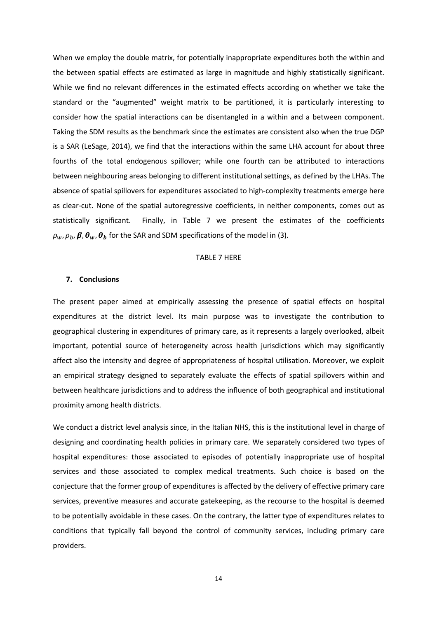When we employ the double matrix, for potentially inappropriate expenditures both the within and the between spatial effects are estimated as large in magnitude and highly statistically significant. While we find no relevant differences in the estimated effects according on whether we take the standard or the "augmented" weight matrix to be partitioned, it is particularly interesting to consider how the spatial interactions can be disentangled in a within and a between component. Taking the SDM results as the benchmark since the estimates are consistent also when the true DGP is a SAR (LeSage, 2014), we find that the interactions within the same LHA account for about three fourths of the total endogenous spillover; while one fourth can be attributed to interactions between neighbouring areas belonging to different institutional settings, as defined by the LHAs. The absence of spatial spillovers for expenditures associated to high-complexity treatments emerge here as clear-cut. None of the spatial autoregressive coefficients, in neither components, comes out as statistically significant. Finally, in Table 7 we present the estimates of the coefficients  $\rho_w$ ,  $\rho_h$ ,  $\beta$ ,  $\theta_w$ ,  $\theta_h$  for the SAR and SDM specifications of the model in (3).

# TABLE 7 HERE

#### **7. Conclusions**

The present paper aimed at empirically assessing the presence of spatial effects on hospital expenditures at the district level. Its main purpose was to investigate the contribution to geographical clustering in expenditures of primary care, as it represents a largely overlooked, albeit important, potential source of heterogeneity across health jurisdictions which may significantly affect also the intensity and degree of appropriateness of hospital utilisation. Moreover, we exploit an empirical strategy designed to separately evaluate the effects of spatial spillovers within and between healthcare jurisdictions and to address the influence of both geographical and institutional proximity among health districts.

We conduct a district level analysis since, in the Italian NHS, this is the institutional level in charge of designing and coordinating health policies in primary care. We separately considered two types of hospital expenditures: those associated to episodes of potentially inappropriate use of hospital services and those associated to complex medical treatments. Such choice is based on the conjecture that the former group of expenditures is affected by the delivery of effective primary care services, preventive measures and accurate gatekeeping, as the recourse to the hospital is deemed to be potentially avoidable in these cases. On the contrary, the latter type of expenditures relates to conditions that typically fall beyond the control of community services, including primary care providers.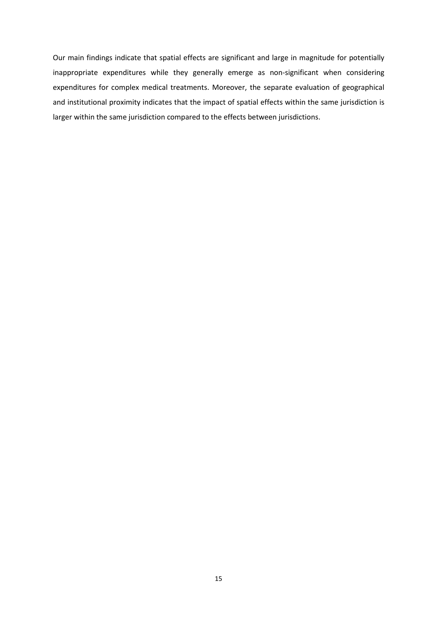Our main findings indicate that spatial effects are significant and large in magnitude for potentially inappropriate expenditures while they generally emerge as non-significant when considering expenditures for complex medical treatments. Moreover, the separate evaluation of geographical and institutional proximity indicates that the impact of spatial effects within the same jurisdiction is larger within the same jurisdiction compared to the effects between jurisdictions.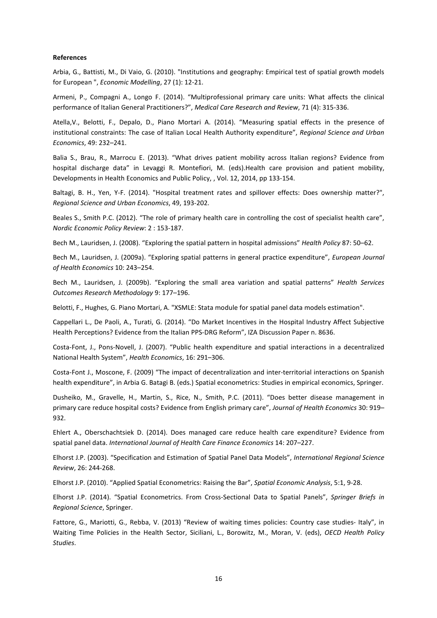#### **References**

Arbia, G., Battisti, M., Di Vaio, G. (2010). "Institutions and geography: Empirical test of spatial growth models for European ", *Economic Modelling*, 27 (1): 12-21.

Armeni, P., Compagni A., Longo F. (2014). "Multiprofessional primary care units: What affects the clinical performance of Italian General Practitioners?", *Medical Care Research and Review*, 71 (4): 315-336.

Atella,V., Belotti, F., Depalo, D., Piano Mortari A. (2014). "Measuring spatial effects in the presence of institutional constraints: The case of Italian Local Health Authority expenditure", *Regional Science and Urban Economics*, 49: 232–241.

Balia S., Brau, R., Marrocu E. (2013). "What drives patient mobility across Italian regions? Evidence from hospital discharge data" in Levaggi R. Montefiori, M. (eds).Health care provision and patient mobility, Developments in Health Economics and Public Policy, , Vol. 12, 2014, pp 133-154.

Baltagi, B. H., Yen, Y-F. (2014). "Hospital treatment rates and spillover effects: Does ownership matter?", *Regional Science and Urban Economics*, 49, 193-202.

Beales S., Smith P.C. (2012). "The role of primary health care in controlling the cost of specialist health care", *Nordic Economic Policy Review*: 2 : 153-187.

Bech M., Lauridsen, J. (2008). "Exploring the spatial pattern in hospital admissions" *Health Policy* 87: 50–62.

Bech M., Lauridsen, J. (2009a). "Exploring spatial patterns in general practice expenditure", *European Journal of Health Economics* 10: 243–254.

Bech M., Lauridsen, J. (2009b). "Exploring the small area variation and spatial patterns" *Health Services Outcomes Research Methodology* 9: 177–196.

Belotti, F., Hughes, G. Piano Mortari, A. "XSMLE: Stata module for spatial panel data models estimation".

Cappellari L., De Paoli, A., Turati, G. (2014). "Do Market Incentives in the Hospital Industry Affect Subjective Health Perceptions? Evidence from the Italian PPS-DRG Reform", IZA Discussion Paper n. 8636.

Costa-Font, J., Pons-Novell, J. (2007). "Public health expenditure and spatial interactions in a decentralized National Health System", *Health Economics*, 16: 291–306.

Costa-Font J., Moscone, F. (2009) "The impact of decentralization and inter-territorial interactions on Spanish health expenditure", in Arbia G. Batagi B. (eds.) Spatial econometrics: Studies in empirical economics, Springer.

Dusheiko, M., Gravelle, H., Martin, S., Rice, N., Smith, P.C. (2011). "Does better disease management in primary care reduce hospital costs? Evidence from English primary care", *Journal of Health Economics* 30: 919– 932.

Ehlert A., Oberschachtsiek D. (2014). Does managed care reduce health care expenditure? Evidence from spatial panel data. *International Journal of Health Care Finance Economics* 14: 207–227.

Elhorst J.P. (2003). "Specification and Estimation of Spatial Panel Data Models", *International Regional Science Review*, 26: 244-268.

Elhorst J.P. (2010). "Applied Spatial Econometrics: Raising the Bar", *Spatial Economic Analysis*, 5:1, 9-28.

Elhorst J.P. (2014). "Spatial Econometrics. From Cross-Sectional Data to Spatial Panels", *Springer Briefs in Regional Science*, Springer.

Fattore, G., Mariotti, G., Rebba, V. (2013) "Review of waiting times policies: Country case studies- Italy", in Waiting Time Policies in the Health Sector, Siciliani, L., Borowitz, M., Moran, V. (eds), *OECD Health Policy Studies*.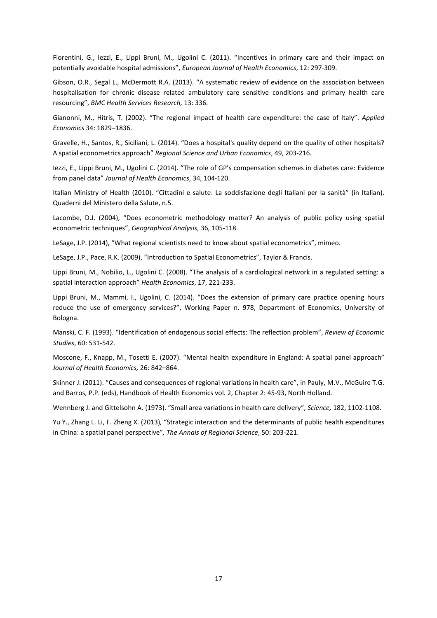Fiorentini, G., Iezzi, E., Lippi Bruni, M., Ugolini C. (2011). "Incentives in primary care and their impact on potentially avoidable hospital admissions", *European Journal of Health Economics*, 12: 297-309.

Gibson, O.R., Segal L., McDermott R.A. (2013). "A systematic review of evidence on the association between hospitalisation for chronic disease related ambulatory care sensitive conditions and primary health care resourcing", *BMC Health Services Research,* 13: 336.

Gianonni, M., Hitris, T. (2002). "The regional impact of health care expenditure: the case of Italy". *Applied Economics* 34: 1829–1836.

Gravelle, H., Santos, R., Siciliani, L. (2014). "Does a hospital's quality depend on the quality of other hospitals? A spatial econometrics approach" *Regional Science and Urban Economics*, 49, 203-216.

Iezzi, E., Lippi Bruni, M., Ugolini C. (2014). "The role of GP's compensation schemes in diabetes care: Evidence from panel data" *Journal of Health Economics*, 34, 104-120.

Italian Ministry of Health (2010). "Cittadini e salute: La soddisfazione degli Italiani per la sanità" (in Italian). Quaderni del Ministero della Salute, n.5.

Lacombe, D.J. (2004), "Does econometric methodology matter? An analysis of public policy using spatial econometric techniques", *Geographical Analysis*, 36, 105-118.

LeSage, J.P. (2014), "What regional scientists need to know about spatial econometrics", mimeo.

LeSage, J.P., Pace, R.K. (2009), "Introduction to Spatial Econometrics", Taylor & Francis.

Lippi Bruni, M., Nobilio, L., Ugolini C. (2008). "The analysis of a cardiological network in a regulated setting: a spatial interaction approach" *Health Economics*, 17, 221-233.

Lippi Bruni, M., Mammi, I., Ugolini, C. (2014). "Does the extension of primary care practice opening hours reduce the use of emergency services?", Working Paper n. 978, Department of Economics, University of Bologna.

Manski, C. F. (1993). "Identification of endogenous social effects: The reflection problem", *Review of Economic Studies*, 60: 531-542.

Moscone, F., Knapp, M., Tosetti E. (2007). "Mental health expenditure in England: A spatial panel approach" *Journal of Health Economics,* 26: 842–864.

Skinner J. (2011). "Causes and consequences of regional variations in health care", in Pauly, M.V., McGuire T.G. and Barros, P.P. (eds), Handbook of Health Economics vol. 2, Chapter 2: 45-93, North Holland.

Wennberg J. and Gittelsohn A. (1973). "Small area variations in health care delivery", *Science,* 182, 1102-1108.

Yu Y., Zhang L. Li, F. Zheng X. (2013)*,* "Strategic interaction and the determinants of public health expenditures in China: a spatial panel perspective"*, The Annals of Regional Science*, 50: 203-221.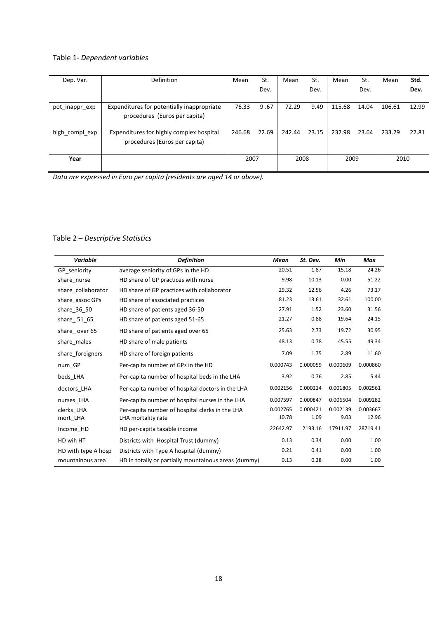# Table 1- *Dependent variables*

| Dep. Var.      | Definition                                                                  | Mean   | St.   | Mean   | St.   | Mean   | St.   | Mean   | Std.  |
|----------------|-----------------------------------------------------------------------------|--------|-------|--------|-------|--------|-------|--------|-------|
|                |                                                                             |        | Dev.  |        | Dev.  |        | Dev.  |        | Dev.  |
|                |                                                                             |        |       |        |       |        |       |        |       |
| pot_inappr_exp | Expenditures for potentially inappropriate<br>procedures (Euros per capita) | 76.33  | 9.67  | 72.29  | 9.49  | 115.68 | 14.04 | 106.61 | 12.99 |
| high compl exp | Expenditures for highly complex hospital<br>procedures (Euros per capita)   | 246.68 | 22.69 | 242.44 | 23.15 | 232.98 | 23.64 | 233.29 | 22.81 |
| Year           |                                                                             | 2007   |       | 2008   |       | 2009   |       | 2010   |       |

*Data are expressed in Euro per capita (residents are aged 14 or above).* 

# Table 2 – *Descriptive Statistics*

| <b>Variable</b>     | <b>Definition</b>                                    | Mean     | St. Dev. | Min      | Max      |
|---------------------|------------------------------------------------------|----------|----------|----------|----------|
| GP seniority        | average seniority of GPs in the HD                   | 20.51    | 1.87     | 15.18    | 24.26    |
| share nurse         | HD share of GP practices with nurse                  | 9.98     | 10.13    | 0.00     | 51.22    |
| share_collaborator  | HD share of GP practices with collaborator           | 29.32    | 12.56    | 4.26     | 73.17    |
| share_assoc GPs     | HD share of associated practices                     | 81.23    | 13.61    | 32.61    | 100.00   |
| share_36_50         | HD share of patients aged 36-50                      | 27.91    | 1.52     | 23.60    | 31.56    |
| share 51 65         | HD share of patients aged 51-65                      | 21.27    | 0.88     | 19.64    | 24.15    |
| share over 65       | HD share of patients aged over 65                    | 25.63    | 2.73     | 19.72    | 30.95    |
| share males         | HD share of male patients                            | 48.13    | 0.78     | 45.55    | 49.34    |
| share foreigners    | HD share of foreign patients                         | 7.09     | 1.75     | 2.89     | 11.60    |
| num GP              | Per-capita number of GPs in the HD                   | 0.000743 | 0.000059 | 0.000609 | 0.000860 |
| beds_LHA            | Per-capita number of hospital beds in the LHA        | 3.92     | 0.76     | 2.85     | 5.44     |
| doctors_LHA         | Per-capita number of hospital doctors in the LHA     | 0.002156 | 0.000214 | 0.001805 | 0.002561 |
| nurses LHA          | Per-capita number of hospital nurses in the LHA      | 0.007597 | 0.000847 | 0.006504 | 0.009282 |
| clerks LHA          | Per-capita number of hospital clerks in the LHA      | 0.002765 | 0.000421 | 0.002139 | 0.003667 |
| mort LHA            | LHA mortality rate                                   | 10.78    | 1.09     | 9.03     | 12.96    |
| Income HD           | HD per-capita taxable income                         | 22642.97 | 2193.16  | 17911.97 | 28719.41 |
| HD wih HT           | Districts with Hospital Trust (dummy)                | 0.13     | 0.34     | 0.00     | 1.00     |
| HD with type A hosp | Districts with Type A hospital (dummy)               | 0.21     | 0.41     | 0.00     | 1.00     |
| mountainous area    | HD in totally or partially mountainous areas (dummy) | 0.13     | 0.28     | 0.00     | 1.00     |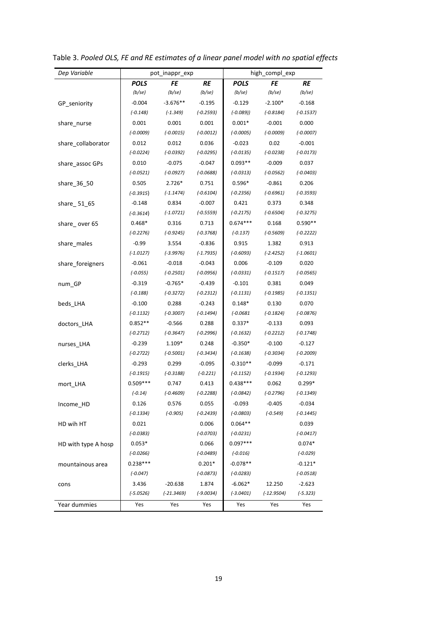| Dep Variable        |             | pot_inappr_exp |             |             | high_compl_exp |             |
|---------------------|-------------|----------------|-------------|-------------|----------------|-------------|
|                     | <b>POLS</b> | <b>FE</b>      | RE          | <b>POLS</b> | <b>FE</b>      | RE          |
|                     | (b/sec)     | (b/sec)        | (b/se)      | (b/se)      | (b/se)         | (b/se)      |
| GP seniority        | $-0.004$    | $-3.676**$     | $-0.195$    | $-0.129$    | $-2.100*$      | $-0.168$    |
|                     | $(-0.148)$  | $(-1.349)$     | $(-0.2593)$ | $(-0.089)$  | $(-0.8184)$    | $(-0.1537)$ |
| share nurse         | 0.001       | 0.001          | 0.001       | $0.001*$    | $-0.001$       | 0.000       |
|                     | $(-0.0009)$ | $(-0.0015)$    | $(-0.0012)$ | $(-0.0005)$ | $(-0.0009)$    | $(-0.0007)$ |
| share_collaborator  | 0.012       | 0.012          | 0.036       | $-0.023$    | 0.02           | $-0.001$    |
|                     | $(-0.0224)$ | $(-0.0392)$    | $(-0.0295)$ | $(-0.0135)$ | $(-0.0238)$    | $(-0.0173)$ |
| share assoc GPs     | 0.010       | $-0.075$       | $-0.047$    | $0.093**$   | $-0.009$       | 0.037       |
|                     | $(-0.0521)$ | $(-0.0927)$    | $(-0.0688)$ | $(-0.0313)$ | $(-0.0562)$    | $(-0.0403)$ |
| share_36_50         | 0.505       | $2.726*$       | 0.751       | $0.596*$    | $-0.861$       | 0.206       |
|                     | $(-0.3915)$ | $(-1.1474)$    | $(-0.6104)$ | $(-0.2356)$ | $(-0.6961)$    | $(-0.3593)$ |
| share 51 65         | $-0.148$    | 0.834          | $-0.007$    | 0.421       | 0.373          | 0.348       |
|                     | $(-0.3614)$ | $(-1.0721)$    | $(-0.5559)$ | $(-0.2175)$ | $(-0.6504)$    | $(-0.3275)$ |
| share over 65       | $0.468*$    | 0.316          | 0.713       | $0.674***$  | 0.168          | $0.590**$   |
|                     | $(-0.2276)$ | $(-0.9245)$    | $(-0.3768)$ | $(-0.137)$  | $(-0.5609)$    | $(-0.2222)$ |
| share males         | $-0.99$     | 3.554          | $-0.836$    | 0.915       | 1.382          | 0.913       |
|                     | $(-1.0127)$ | $(-3.9976)$    | $(-1.7935)$ | $(-0.6093)$ | $(-2.4252)$    | $(-1.0601)$ |
| share_foreigners    | $-0.061$    | $-0.018$       | $-0.043$    | 0.006       | $-0.109$       | 0.020       |
|                     | $(-0.055)$  | $(-0.2501)$    | $(-0.0956)$ | $(-0.0331)$ | $(-0.1517)$    | $(-0.0565)$ |
| num GP              | $-0.319$    | $-0.765*$      | $-0.439$    | $-0.101$    | 0.381          | 0.049       |
|                     | $(-0.188)$  | $(-0.3272)$    | $(-0.2312)$ | $(-0.1131)$ | $(-0.1985)$    | $(-0.1351)$ |
| beds LHA            | $-0.100$    | 0.288          | $-0.243$    | $0.148*$    | 0.130          | 0.070       |
|                     | $(-0.1132)$ | $(-0.3007)$    | $(-0.1494)$ | $(-0.0681)$ | $(-0.1824)$    | $(-0.0876)$ |
| doctors LHA         | $0.852**$   | $-0.566$       | 0.288       | $0.337*$    | $-0.133$       | 0.093       |
|                     | $(-0.2712)$ | $(-0.3647)$    | $(-0.2996)$ | $(-0.1632)$ | $(-0.2212)$    | $(-0.1748)$ |
| nurses LHA          | $-0.239$    | $1.109*$       | 0.248       | $-0.350*$   | $-0.100$       | $-0.127$    |
|                     | $(-0.2722)$ | $(-0.5001)$    | $(-0.3434)$ | $(-0.1638)$ | $(-0.3034)$    | $(-0.2009)$ |
| clerks LHA          | $-0.293$    | 0.299          | $-0.095$    | $-0.310**$  | $-0.099$       | $-0.171$    |
|                     | $(-0.1915)$ | $(-0.3188)$    | $(-0.221)$  | $(-0.1152)$ | $(-0.1934)$    | $(-0.1293)$ |
| mort LHA            | $0.509***$  | 0.747          | 0.413       | $0.438***$  | 0.062          | $0.299*$    |
|                     | (-0.14)     | (-0.4609)      | $(-0.2288)$ | $(-0.0842)$ | $(-0.2796)$    | $(-0.1349)$ |
| Income_HD           | 0.126       | 0.576          | 0.055       | $-0.093$    | $-0.405$       | $-0.034$    |
|                     | $(-0.1334)$ | $(-0.905)$     | $(-0.2439)$ | $(-0.0803)$ | $(-0.549)$     | $(-0.1445)$ |
| HD wih HT           | 0.021       |                | 0.006       | $0.064**$   |                | 0.039       |
|                     | $(-0.0383)$ |                | $(-0.0703)$ | $(-0.0231)$ |                | $(-0.0417)$ |
| HD with type A hosp | $0.053*$    |                | 0.066       | $0.097***$  |                | $0.074*$    |
|                     | $(-0.0266)$ |                | $(-0.0489)$ | $(-0.016)$  |                | $(-0.029)$  |
| mountainous area    | $0.238***$  |                | $0.201*$    | $-0.078**$  |                | $-0.121*$   |
|                     | $(-0.047)$  |                | $(-0.0873)$ | $(-0.0283)$ |                | $(-0.0518)$ |
| cons                | 3.436       | $-20.638$      | 1.874       | $-6.062*$   | 12.250         | $-2.623$    |
|                     | $(-5.0526)$ | $(-21.3469)$   | $(-9.0034)$ | $(-3.0401)$ | $(-12.9504)$   | $(-5.323)$  |
| Year dummies        | Yes         | Yes            | Yes         | Yes         | Yes            | Yes         |

Table 3. *Pooled OLS, FE and RE estimates of a linear panel model with no spatial effects*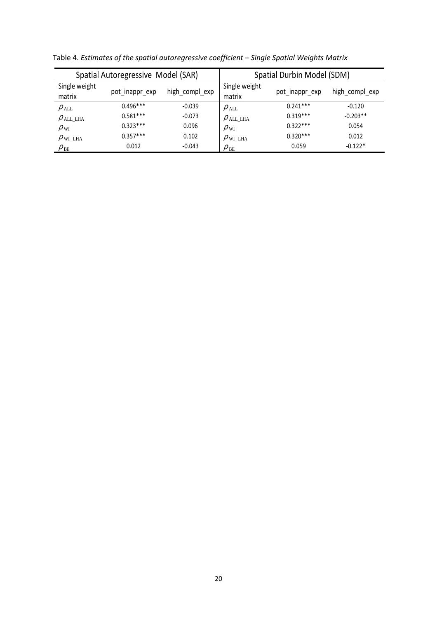| Spatial Autoregressive Model (SAR) |                |                | Spatial Durbin Model (SDM) |                |                |
|------------------------------------|----------------|----------------|----------------------------|----------------|----------------|
| Single weight<br>matrix            | pot_inappr_exp | high_compl_exp | Single weight<br>matrix    | pot_inappr_exp | high_compl_exp |
| $\rho$ all                         | $0.496***$     | $-0.039$       | $\rho_{\text{ALL}}$        | $0.241***$     | $-0.120$       |
| $\rho$ all LHA                     | $0.581***$     | $-0.073$       | $\rho$ all LHA             | $0.319***$     | $-0.203**$     |
| $\rho_{\text{WI}}$                 | $0.323***$     | 0.096          | $\rho_{\text{WI}}$         | $0.322***$     | 0.054          |
| $\rho_{\text{WI LHA}}$             | $0.357***$     | 0.102          | $\rho$ wi LHA              | $0.320***$     | 0.012          |
| $\rho$ be                          | 0.012          | $-0.043$       | $\rho_{BE}$                | 0.059          | $-0.122*$      |

Table 4. *Estimates of the spatial autoregressive coefficient – Single Spatial Weights Matrix*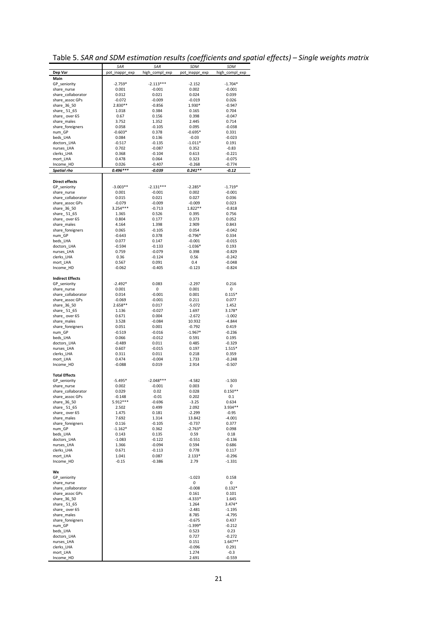Table 5. *SAR and SDM estimation results (coefficients and spatial effects) – Single weights matrix* 

|                              | SAR                  | SAR                  | SDM                   | SDM               |
|------------------------------|----------------------|----------------------|-----------------------|-------------------|
| Dep Var                      | pot<br>_inappr_exp   | high<br>compl exp    | pot<br>_inappr_exp    | high<br>compl exp |
| Main                         |                      |                      |                       |                   |
| GP_seniority                 | $-2.759*$            | $-2.113***$          | $-2.152$              | $-1.704*$         |
| share nurse                  | 0.001                | $-0.001$             | 0.002                 | $-0.001$          |
| share_collaborator           | 0.012                | 0.021                | 0.024                 | 0.039             |
| share assoc GPs              | $-0.072$             | $-0.009$             | $-0.019$              | 0.026             |
| share_36_50                  | $2.830**$            | $-0.856$             | 1.930*                | $-0.947$          |
| share 51 65                  | 1.018                | 0.384                | 0.165                 | 0.704             |
| share_over 65                | 0.67                 | 0.156                | 0.398                 | $-0.047$          |
| share_males                  | 3.752                | 1.352                | 2.445                 | 0.714             |
| share foreigners             | 0.058                | $-0.105$             | 0.095                 | -0.038            |
| num GP                       | $-0.603*$            | 0.378                | $-0.695*$             | 0.331             |
| beds LHA                     | 0.084                | 0.136                | $-0.03$               | $-0.023$          |
| doctors LHA                  | $-0.517$             | $-0.135$             | $-1.011*$             | 0.191             |
| nurses_LHA                   | 0.702                | $-0.087$             | 0.352                 | $-0.83$           |
| clerks_LHA                   | 0.368                | $-0.104$             | 0.613                 | $-0.221$          |
| mort LHA                     | 0.478                | 0.064                | 0.323                 | $-0.075$          |
| Income_HD                    | 0.026                | $-0.407$             | $-0.268$              | $-0.774$          |
| Spatial rho                  | $0.496***$           | -0.039               | $0.241**$             | $-0.12$           |
|                              |                      |                      |                       |                   |
| <b>Direct effects</b>        |                      |                      |                       |                   |
| GP_seniority                 | $-3.003**$           | $-2.131***$          | $-2.285*$             | $-1.719*$         |
| share nurse                  | 0.001                | $-0.001$             | 0.002                 | $-0.001$          |
| share_collaborator           | 0.015                | 0.021                | 0.027                 | 0.036             |
| share_assoc GPs              | $-0.079$<br>3.254*** | $-0.009$<br>$-0.713$ | $-0.009$<br>$1.822**$ | 0.023             |
| share_36_50                  | 1.365                | 0.526                | 0.395                 | $-0.818$<br>0.756 |
| share_51_65<br>share_over 65 | 0.804                | 0.177                | 0.373                 | 0.052             |
| share males                  | 4.164                | 1.398                | 2.909                 | 0.843             |
| share foreigners             | 0.065                | $-0.105$             | 0.054                 | -0.042            |
| num_GP                       | $-0.643$             | 0.378                | $-0.796*$             | 0.334             |
| beds LHA                     | 0.077                | 0.147                | $-0.001$              | $-0.015$          |
| doctors_LHA                  | $-0.594$             | $-0.133$             | $-1.036*$             | 0.193             |
| nurses LHA                   | 0.759                | $-0.079$             | 0.398                 | $-0.829$          |
| clerks_LHA                   | 0.36                 | $-0.124$             | 0.56                  | $-0.242$          |
| mort_LHA                     | 0.567                | 0.091                | 0.4                   | $-0.048$          |
| Income HD                    | $-0.062$             | $-0.405$             | $-0.123$              | $-0.824$          |
|                              |                      |                      |                       |                   |
| <b>Indirect Effects</b>      |                      |                      |                       |                   |
| GP seniority                 | $-2.492*$            | 0.083                | $-2.297$              | 0.216             |
| share_nurse                  | 0.001                | 0                    | 0.001                 | 0                 |
| share_collaborator           | 0.014                | $-0.001$             | 0.001                 | $0.115*$          |
| share_assoc GPs              | $-0.069$             | $-0.001$             | 0.211                 | 0.077             |
| share_36_50                  | $2.658**$            | 0.017                | -5.072                | 1.452             |
| share_51_65                  | 1.136                | $-0.027$             | 1.697                 | 3.178*            |
| share over 65                | 0.671                | 0.004                | $-2.672$              | $-1.002$          |
| share males                  | 3.528                | $-0.084$             | 10.932                | $-4.844$          |
| share_foreigners             | 0.051                | 0.001                | $-0.792$              | 0.419             |
| num GP                       | $-0.519$             | $-0.016$             | $-1.967*$             | $-0.236$          |
| beds_LHA                     | 0.066                | $-0.012$             | 0.591                 | 0.195             |
| doctors_LHA                  | $-0.489$             | 0.011                | 0.485                 | $-0.329$          |
| nurses LHA                   | 0.607                | $-0.015$             | 0.197                 | $1.515*$          |
| clerks_LHA                   | 0.311                | 0.011                | 0.218<br>1.733        | 0.359             |
| mort_LHA                     | 0.474                | $-0.004$             |                       | $-0.248$          |
| Income HD                    | $-0.088$             | 0.019                | 2.914                 | $-0.507$          |
| <b>Total Effects</b>         |                      |                      |                       |                   |
| GP seniority                 | -5.495*              | $-2.048***$          | -4.582                | $-1.503$          |
| share_nurse                  | 0.002                | $-0.001$             | 0.003                 | 0                 |
| share collaborator           | 0.029                | 0.02                 | 0.028                 | $0.150**$         |
| share_assoc GPs              | $-0.148$             | $-0.01$              | 0.202                 | 0.1               |
| share_36_50                  | 5.912***             | $-0.696$             | $-3.25$               | 0.634             |
| share_51_65                  | 2.502                | 0.499                | 2.092                 | 3.934 **          |
| share over 65                | 1.475                | 0.181                | $-2.299$              | $-0.95$           |
| share_males                  | 7.692                | 1.314                | 13.842                | $-4.001$          |
| share_foreigners             | 0.116                | $-0.105$             | $-0.737$              | 0.377             |
| num_GP                       | $-1.162*$            | 0.362                | $-2.763*$             | 0.098             |
| beds_LHA                     | 0.143                | 0.135                | 0.59                  | 0.18              |
| doctors_LHA                  | $-1.083$             | $-0.122$             | $-0.551$              | $-0.136$          |
| nurses LHA                   | 1.366                | $-0.094$             | 0.594                 | 0.686             |
| clerks LHA                   | 0.671                | $-0.113$             | 0.778                 | 0.117             |
| mort_LHA                     | 1.041                | 0.087                | 2.133*                | $-0.296$          |
| Income_HD                    | $-0.15$              | $-0.386$             | 2.79                  | $-1.331$          |
|                              |                      |                      |                       |                   |
| Wx<br>GP_seniority           |                      |                      |                       | 0.158             |
| share nurse                  |                      |                      | $-1.023$<br>0         | 0                 |
| share_collaborator           |                      |                      | $-0.008$              | $0.132*$          |
| share_assoc GPs              |                      |                      | 0.161                 | 0.101             |
| share_36_50                  |                      |                      | $-4.333*$             | 1.645             |
| share 51 65                  |                      |                      | 1.264                 | $3.474*$          |
| share over 65                |                      |                      | $-2.481$              | $-1.195$          |
| share_males                  |                      |                      | 8.785                 | -4.795            |
| share_foreigners             |                      |                      | $-0.675$              | 0.437             |
| num_GP                       |                      |                      | $-1.399*$             | $-0.212$          |
| beds_LHA                     |                      |                      | 0.523                 | 0.23              |
| doctors_LHA                  |                      |                      | 0.727                 | $-0.272$          |
| nurses_LHA                   |                      |                      | 0.151                 | $1.647**$         |
| clerks LHA                   |                      |                      | $-0.096$              | 0.291             |
| mort_LHA                     |                      |                      | 1.274                 | $-0.3$            |
| Income HD                    |                      |                      | 2.691                 | $-0.559$          |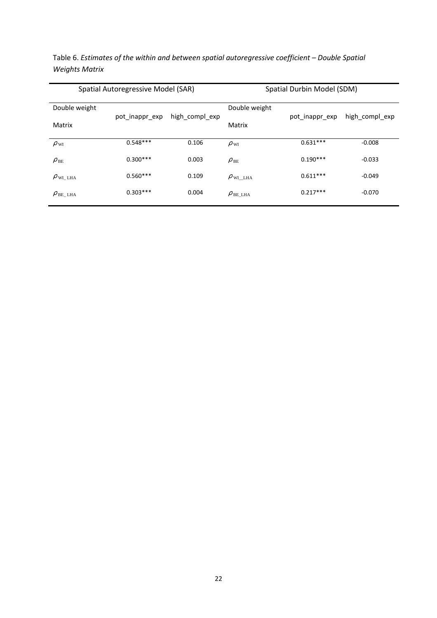| Spatial Autoregressive Model (SAR) |                |                | Spatial Durbin Model (SDM) |                |                |  |
|------------------------------------|----------------|----------------|----------------------------|----------------|----------------|--|
| Double weight                      |                |                | Double weight              |                |                |  |
| Matrix                             | pot inappr exp | high compl exp | Matrix                     | pot inappr exp | high_compl_exp |  |
| $\rho_{\text{WI}}$                 | $0.548***$     | 0.106          | $\rho_{\text{WI}}$         | $0.631***$     | $-0.008$       |  |
| $\rho_{BE}$                        | $0.300***$     | 0.003          | $\rho_{BE}$                | $0.190***$     | $-0.033$       |  |
| $\rho$ wi LHA                      | $0.560***$     | 0.109          | $\rho$ wi_lha              | $0.611***$     | $-0.049$       |  |
| $\rho$ be LHA                      | $0.303***$     | 0.004          | $\rho$ be LHA              | $0.217***$     | $-0.070$       |  |

Table 6. *Estimates of the within and between spatial autoregressive coefficient – Double Spatial Weights Matrix*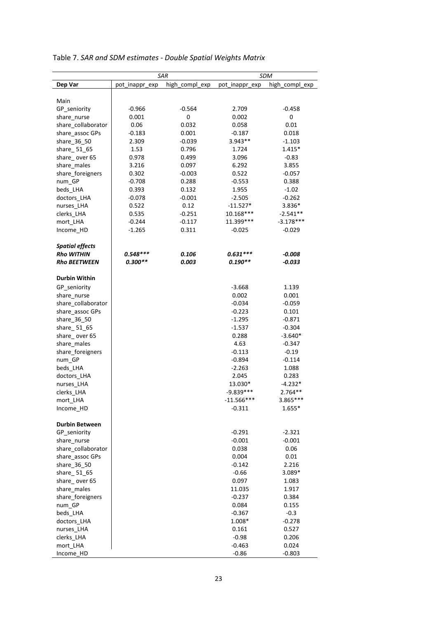|                        | SAR            |                | <b>SDM</b>     |                |  |
|------------------------|----------------|----------------|----------------|----------------|--|
| Dep Var                | pot_inappr_exp | high compl exp | pot inappr exp | high_compl_exp |  |
|                        |                |                |                |                |  |
| Main                   |                |                |                |                |  |
| GP_seniority           | $-0.966$       | $-0.564$       | 2.709          | $-0.458$       |  |
| share nurse            | 0.001          | 0              | 0.002          | $\mathbf 0$    |  |
| share_collaborator     | 0.06           | 0.032          | 0.058          | 0.01           |  |
| share_assoc GPs        | $-0.183$       | 0.001          | $-0.187$       | 0.018          |  |
| share_36_50            | 2.309          | $-0.039$       | 3.943**        | $-1.103$       |  |
| share_51_65            | 1.53           | 0.796          | 1.724          | $1.415*$       |  |
| share over 65          | 0.978          | 0.499          | 3.096          | $-0.83$        |  |
| share males            | 3.216          | 0.097          | 6.292          | 3.855          |  |
| share_foreigners       | 0.302          | $-0.003$       | 0.522          | -0.057         |  |
| num_GP                 | $-0.708$       | 0.288          | $-0.553$       | 0.388          |  |
| beds_LHA               | 0.393          | 0.132          | 1.955          | $-1.02$        |  |
| doctors LHA            | $-0.078$       | $-0.001$       | $-2.505$       | $-0.262$       |  |
| nurses_LHA             | 0.522          | 0.12           | $-11.527*$     | 3.836*         |  |
| clerks_LHA             | 0.535          | $-0.251$       | 10.168***      | $-2.541**$     |  |
| mort_LHA               | $-0.244$       | $-0.117$       | 11.399***      | $-3.178***$    |  |
| Income HD              | $-1.265$       | 0.311          | $-0.025$       | -0.029         |  |
|                        |                |                |                |                |  |
| <b>Spatial effects</b> |                |                |                |                |  |
| <b>Rho WITHIN</b>      | $0.548***$     | 0.106          | $0.631***$     | $-0.008$       |  |
| <b>Rho BEETWEEN</b>    | $0.300**$      | 0.003          | $0.190**$      | $-0.033$       |  |
|                        |                |                |                |                |  |
| Durbin Within          |                |                |                |                |  |
| GP_seniority           |                |                | $-3.668$       | 1.139          |  |
| share nurse            |                |                | 0.002          | 0.001          |  |
| share_collaborator     |                |                | $-0.034$       | $-0.059$       |  |
| share_assoc GPs        |                |                | $-0.223$       | 0.101          |  |
| share_36_50            |                |                | $-1.295$       | $-0.871$       |  |
| share_51_65            |                |                | $-1.537$       | $-0.304$       |  |
| share_over 65          |                |                | 0.288          | $-3.640*$      |  |
| share_males            |                |                | 4.63           | $-0.347$       |  |
| share_foreigners       |                |                | $-0.113$       | $-0.19$        |  |
| num_GP                 |                |                | $-0.894$       | $-0.114$       |  |
| beds_LHA               |                |                | $-2.263$       | 1.088          |  |
| doctors LHA            |                |                | 2.045          | 0.283          |  |
| nurses LHA             |                |                | 13.030*        | $-4.232*$      |  |
| clerks_LHA             |                |                | $-9.839***$    | 2.764**        |  |
| mort_LHA               |                |                | $-11.566***$   | 3.865***       |  |
| Income HD              |                |                | $-0.311$       | $1.655*$       |  |
|                        |                |                |                |                |  |
| Durbin Between         |                |                |                |                |  |
| GP seniority           |                |                | $-0.291$       | $-2.321$       |  |
| share nurse            |                |                | $-0.001$       | $-0.001$       |  |
| share_collaborator     |                |                | 0.038          | 0.06           |  |
| share assoc GPs        |                |                | 0.004          | 0.01           |  |
| share 36 50            |                |                | $-0.142$       | 2.216          |  |
| share_51_65            |                |                | $-0.66$        | 3.089*         |  |
| share_over 65          |                |                | 0.097          | 1.083          |  |
| share males            |                |                | 11.035         | 1.917          |  |
| share_foreigners       |                |                | $-0.237$       | 0.384          |  |
| num_GP                 |                |                | 0.084          | 0.155          |  |
| beds_LHA               |                |                | $-0.367$       | $-0.3$         |  |
| doctors LHA            |                |                | 1.008*         | -0.278         |  |
| nurses LHA             |                |                | 0.161          | 0.527          |  |
| clerks_LHA             |                |                | $-0.98$        | 0.206          |  |
| mort_LHA               |                |                | $-0.463$       | 0.024          |  |
| Income HD              |                |                | -0.86          | -0.803         |  |

# Table 7. *SAR and SDM estimates - Double Spatial Weights Matrix*